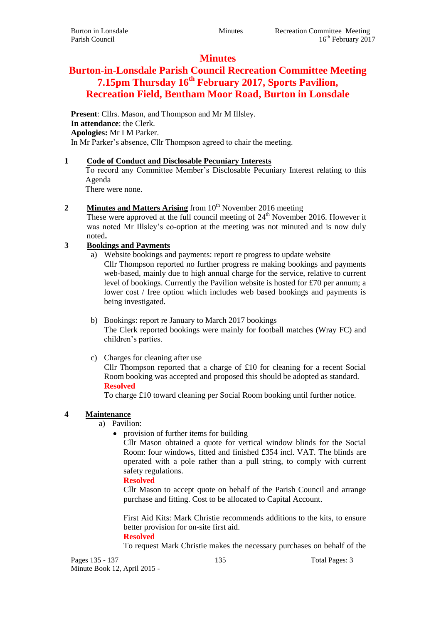## **Minutes**

# **Burton-in-Lonsdale Parish Council Recreation Committee Meeting 7.15pm Thursday 16th February 2017, Sports Pavilion, Recreation Field, Bentham Moor Road, Burton in Lonsdale**

**Present**: Cllrs. Mason, and Thompson and Mr M Illsley. **In attendance**: the Clerk. **Apologies:** Mr I M Parker. In Mr Parker's absence, Cllr Thompson agreed to chair the meeting.

### **1 Code of Conduct and Disclosable Pecuniary Interests**

To record any Committee Member's Disclosable Pecuniary Interest relating to this Agenda

There were none.

## **2 Minutes and Matters Arising** from 10<sup>th</sup> November 2016 meeting

These were approved at the full council meeting of 24<sup>th</sup> November 2016. However it was noted Mr Illsley's co-option at the meeting was not minuted and is now duly noted**.**

## **3 Bookings and Payments**

- a) Website bookings and payments: report re progress to update website Cllr Thompson reported no further progress re making bookings and payments web-based, mainly due to high annual charge for the service, relative to current level of bookings. Currently the Pavilion website is hosted for £70 per annum; a lower cost / free option which includes web based bookings and payments is being investigated.
- b) Bookings: report re January to March 2017 bookings The Clerk reported bookings were mainly for football matches (Wray FC) and children's parties.
- c) Charges for cleaning after use

Cllr Thompson reported that a charge of £10 for cleaning for a recent Social Room booking was accepted and proposed this should be adopted as standard. **Resolved**

To charge £10 toward cleaning per Social Room booking until further notice.

### **4 Maintenance**

- a) Pavilion:
	- provision of further items for building

Cllr Mason obtained a quote for vertical window blinds for the Social Room: four windows, fitted and finished £354 incl. VAT. The blinds are operated with a pole rather than a pull string, to comply with current safety regulations.

### **Resolved**

Cllr Mason to accept quote on behalf of the Parish Council and arrange purchase and fitting. Cost to be allocated to Capital Account.

First Aid Kits: Mark Christie recommends additions to the kits, to ensure better provision for on-site first aid.

#### **Resolved**

To request Mark Christie makes the necessary purchases on behalf of the

Pages 135 - 137 135 135 Total Pages: 3 Minute Book 12, April 2015 -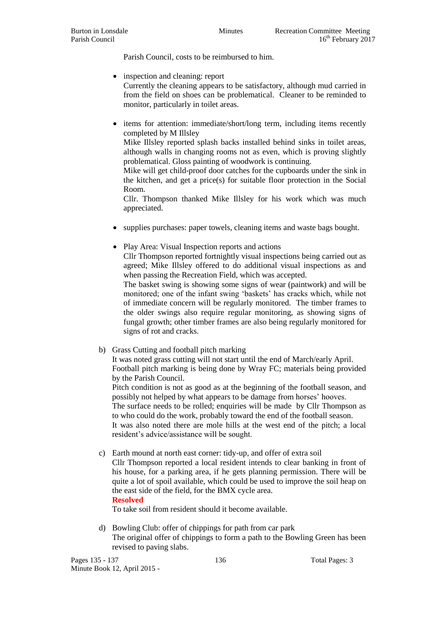Parish Council, costs to be reimbursed to him.

- inspection and cleaning: report Currently the cleaning appears to be satisfactory, although mud carried in from the field on shoes can be problematical. Cleaner to be reminded to monitor, particularly in toilet areas.
- items for attention: immediate/short/long term, including items recently completed by M Illsley

Mike Illsley reported splash backs installed behind sinks in toilet areas, although walls in changing rooms not as even, which is proving slightly problematical. Gloss painting of woodwork is continuing.

Mike will get child-proof door catches for the cupboards under the sink in the kitchen, and get a price(s) for suitable floor protection in the Social Room.

Cllr. Thompson thanked Mike Illsley for his work which was much appreciated.

- supplies purchases: paper towels, cleaning items and waste bags bought.
- Play Area: Visual Inspection reports and actions

Cllr Thompson reported fortnightly visual inspections being carried out as agreed; Mike Illsley offered to do additional visual inspections as and when passing the Recreation Field, which was accepted.

The basket swing is showing some signs of wear (paintwork) and will be monitored; one of the infant swing 'baskets' has cracks which, while not of immediate concern will be regularly monitored. The timber frames to the older swings also require regular monitoring, as showing signs of fungal growth; other timber frames are also being regularly monitored for signs of rot and cracks.

b) Grass Cutting and football pitch marking

It was noted grass cutting will not start until the end of March/early April. Football pitch marking is being done by Wray FC; materials being provided by the Parish Council.

Pitch condition is not as good as at the beginning of the football season, and possibly not helped by what appears to be damage from horses' hooves.

The surface needs to be rolled; enquiries will be made by Cllr Thompson as to who could do the work, probably toward the end of the football season.

It was also noted there are mole hills at the west end of the pitch; a local resident's advice/assistance will be sought.

c) Earth mound at north east corner: tidy-up, and offer of extra soil

Cllr Thompson reported a local resident intends to clear banking in front of his house, for a parking area, if he gets planning permission. There will be quite a lot of spoil available, which could be used to improve the soil heap on the east side of the field, for the BMX cycle area.

#### **Resolved**

To take soil from resident should it become available.

d) Bowling Club: offer of chippings for path from car park The original offer of chippings to form a path to the Bowling Green has been revised to paving slabs.